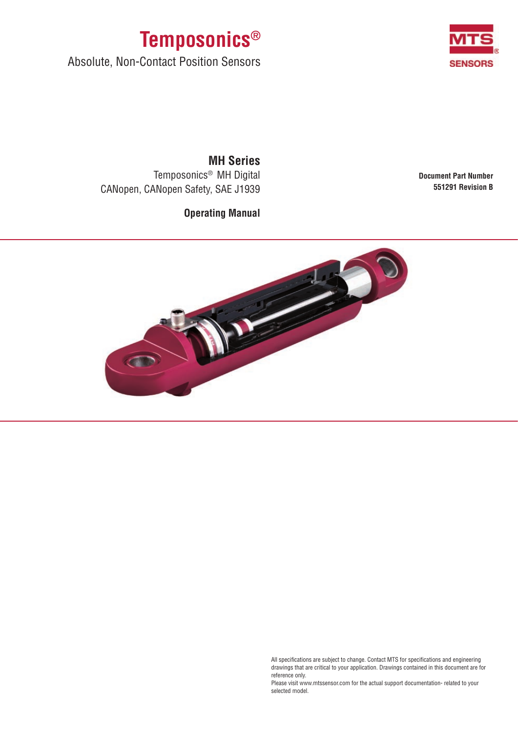



Absolute, Non-Contact Position Sensors

**Document Part Number 551291 Revision B**

**MH Series** Temposonics® MH Digital CANopen, CANopen Safety, SAE J1939

**Operating Manual**



All specifications are subject to change. Contact MTS for specifications and engineering drawings that are critical to your application. Drawings contained in this document are for reference only.

Please visit www.mtssensor.com for the actual support documentation- related to your selected model.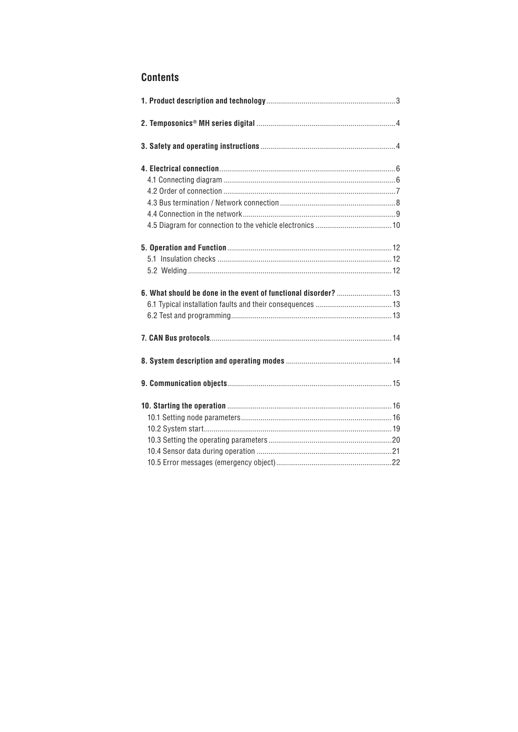# **Contents**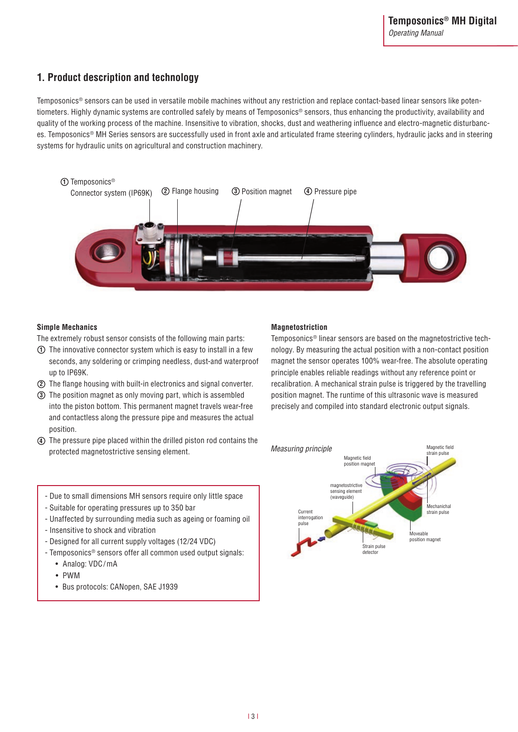# **1. Product description and technology**

Temposonics® sensors can be used in versatile mobile machines without any restriction and replace contact-based linear sensors like potentiometers. Highly dynamic systems are controlled safely by means of Temposonics® sensors, thus enhancing the productivity, availability and quality of the working process of the machine. Insensitive to vibration, shocks, dust and weathering influence and electro-magnetic disturbances. Temposonics® MH Series sensors are successfully used in front axle and articulated frame steering cylinders, hydraulic jacks and in steering systems for hydraulic units on agricultural and construction machinery.



### **Simple Mechanics**

The extremely robust sensor consists of the following main parts:

- $\mathbf{\hat{D}}$  The innovative connector system which is easy to install in a few seconds, any soldering or crimping needless, dust-and waterproof up to IP69K.
- The flange housing with built-in electronics and signal converter. **2**
- The position magnet as only moving part, which is assembled **3** into the piston bottom. This permanent magnet travels wear-free and contactless along the pressure pipe and measures the actual position.
- The pressure pipe placed within the drilled piston rod contains the **4** protected magnetostrictive sensing element. Measuring principle<br>
strain pulse

### **Magnetostriction**

Temposonics® linear sensors are based on the magnetostrictive technology. By measuring the actual position with a non-contact position magnet the sensor operates 100% wear-free. The absolute operating principle enables reliable readings without any reference point or recalibration. A mechanical strain pulse is triggered by the travelling position magnet. The runtime of this ultrasonic wave is measured precisely and compiled into standard electronic output signals.



- Due to small dimensions MH sensors require only little space
- Suitable for operating pressures up to 350 bar
- Unaffected by surrounding media such as ageing or foaming oil
- Insensitive to shock and vibration
- Designed for all current supply voltages (12/24 VDC)
- Temposonics® sensors offer all common used output signals:
	- • Analog: VDC/mA
	- • PWM
	- • Bus protocols: CANopen, SAE J1939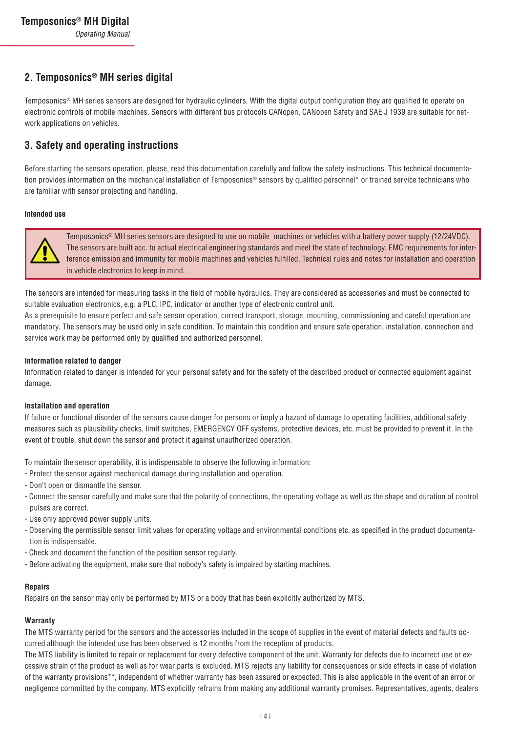# **2. Temposonics® MH series digital**

Temposonics® MH series sensors are designed for hydraulic cylinders. With the digital output configuration they are qualified to operate on electronic controls of mobile machines. Sensors with different bus protocols CANopen, CANopen Safety and SAE J 1939 are suitable for network applications on vehicles.

# **3. Safety and operating instructions**

Before starting the sensors operation, please, read this documentation carefully and follow the safety instructions. This technical documentation provides information on the mechanical installation of Temposonics<sup>®</sup> sensors by qualified personnel\* or trained service technicians who are familiar with sensor projecting and handling.

#### **Intended use**



Temposonics® MH series sensors are designed to use on mobile machines or vehicles with a battery power supply (12/24VDC). The sensors are built acc. to actual electrical engineering standards and meet the state of technology. EMC requirements for interference emission and immunity for mobile machines and vehicles fulfilled. Technical rules and notes for installation and operation in vehicle electronics to keep in mind.

The sensors are intended for measuring tasks in the field of mobile hydraulics. They are considered as accessories and must be connected to suitable evaluation electronics, e.g. a PLC, IPC, indicator or another type of electronic control unit.

As a prerequisite to ensure perfect and safe sensor operation, correct transport, storage, mounting, commissioning and careful operation are mandatory. The sensors may be used only in safe condition. To maintain this condition and ensure safe operation, installation, connection and service work may be performed only by qualified and authorized personnel.

#### **Information related to danger**

Information related to danger is intended for your personal safety and for the safety of the described product or connected equipment against damage.

### **Installation and operation**

If failure or functional disorder of the sensors cause danger for persons or imply a hazard of damage to operating facilities, additional safety measures such as plausibility checks, limit switches, EMERGENCY OFF systems, protective devices, etc. must be provided to prevent it. In the event of trouble, shut down the sensor and protect it against unauthorized operation.

To maintain the sensor operability, it is indispensable to observe the following information:

- Protect the sensor against mechanical damage during installation and operation.
- Don't open or dismantle the sensor.
- Connect the sensor carefully and make sure that the polarity of connections, the operating voltage as well as the shape and duration of control pulses are correct.
- Use only approved power supply units.
- Observing the permissible sensor limit values for operating voltage and environmental conditions etc. as specified in the product documentation is indispensable.
- Check and document the function of the position sensor regularly.
- Before activating the equipment, make sure that nobody's safety is impaired by starting machines.

#### **Repairs**

Repairs on the sensor may only be performed by MTS or a body that has been explicitly authorized by MTS.

#### **Warranty**

The MTS warranty period for the sensors and the accessories included in the scope of supplies in the event of material defects and faults occurred although the intended use has been observed is 12 months from the reception of products.

The MTS liability is limited to repair or replacement for every defective component of the unit. Warranty for defects due to incorrect use or excessive strain of the product as well as for wear parts is excluded. MTS rejects any liability for consequences or side effects in case of violation of the warranty provisions\*\*, independent of whether warranty has been assured or expected. This is also applicable in the event of an error or negligence committed by the company. MTS explicitly refrains from making any additional warranty promises. Representatives, agents, dealers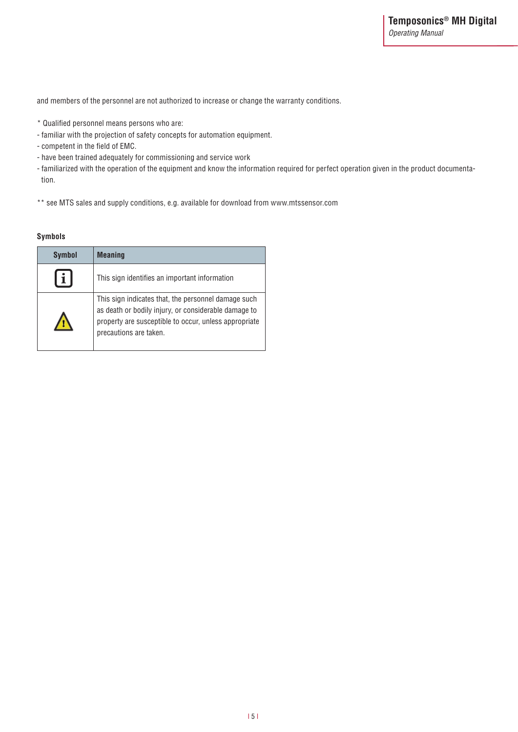and members of the personnel are not authorized to increase or change the warranty conditions.

- \* Qualified personnel means persons who are:
- familiar with the projection of safety concepts for automation equipment.
- competent in the field of EMC.
- have been trained adequately for commissioning and service work
- familiarized with the operation of the equipment and know the information required for perfect operation given in the product documentation.
- \*\* see MTS sales and supply conditions, e.g. available for download from www.mtssensor.com

#### **Symbols**

| <b>Symbol</b> | <b>Meaning</b>                                                                                                                                                                                 |
|---------------|------------------------------------------------------------------------------------------------------------------------------------------------------------------------------------------------|
|               | This sign identifies an important information                                                                                                                                                  |
|               | This sign indicates that, the personnel damage such<br>as death or bodily injury, or considerable damage to<br>property are susceptible to occur, unless appropriate<br>precautions are taken. |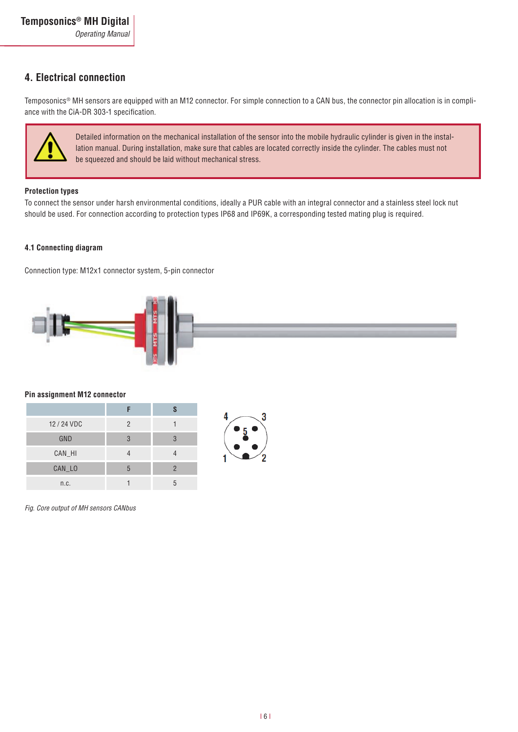# **4. Electrical connection**

Temposonics® MH sensors are equipped with an M12 connector. For simple connection to a CAN bus, the connector pin allocation is in compliance with the CiA-DR 303-1 specification.



Detailed information on the mechanical installation of the sensor into the mobile hydraulic cylinder is given in the installation manual. During installation, make sure that cables are located correctly inside the cylinder. The cables must not be squeezed and should be laid without mechanical stress.

### **Protection types**

To connect the sensor under harsh environmental conditions, ideally a PUR cable with an integral connector and a stainless steel lock nut should be used. For connection according to protection types IP68 and IP69K, a corresponding tested mating plug is required.

### **4.1 Connecting diagram**

Connection type: M12x1 connector system, 5-pin connector



#### **Pin assignment M12 connector**

| 12 / 24 VDC | 2 |   |
|-------------|---|---|
| GND         | З | 3 |
| CAN_HI      |   |   |
| CAN_LO      | h |   |
| n.c.        |   |   |



*Fig. Core output of MH sensors CANbus*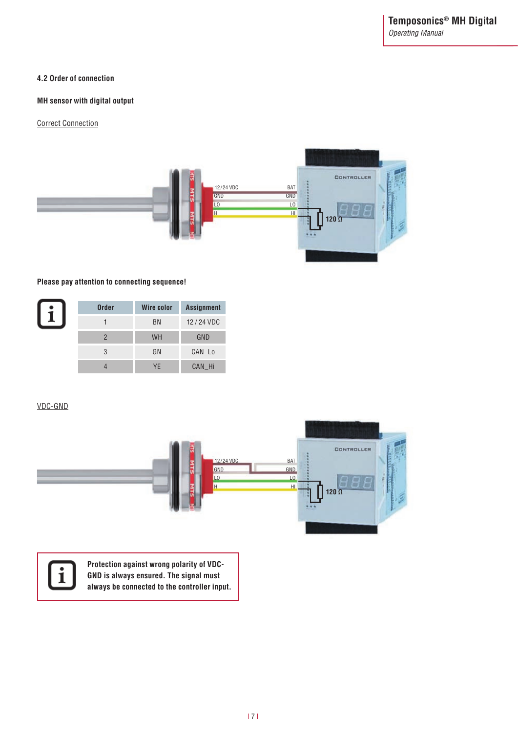### **4.2 Order of connection**

### **MH sensor with digital output**

Correct Connection



### **Please pay attention to connecting sequence!**

| <b>Order</b> | Wire color | <b>Assignment</b> |
|--------------|------------|-------------------|
|              | <b>BN</b>  | 12/24 VDC         |
|              | <b>WH</b>  | GND               |
| 3            | GN         | CAN_Lo            |
|              | YF         | CAN Hi            |

### VDC-GND





**Protection against wrong polarity of VDC-GND is always ensured. The signal must always be connected to the controller input.**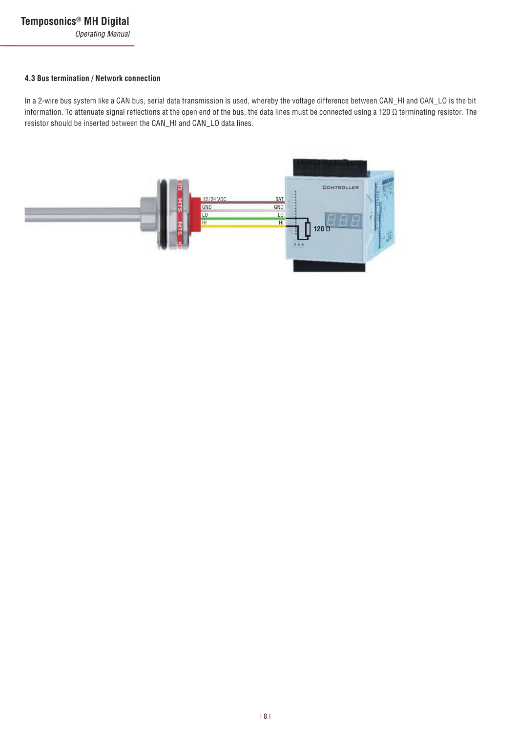#### **4.3 Bus termination / Network connection**

In a 2-wire bus system like a CAN bus, serial data transmission is used, whereby the voltage difference between CAN\_HI and CAN\_LO is the bit information. To attenuate signal reflections at the open end of the bus, the data lines must be connected using a 120 Ω terminating resistor. The resistor should be inserted between the CAN\_HI and CAN\_LO data lines.

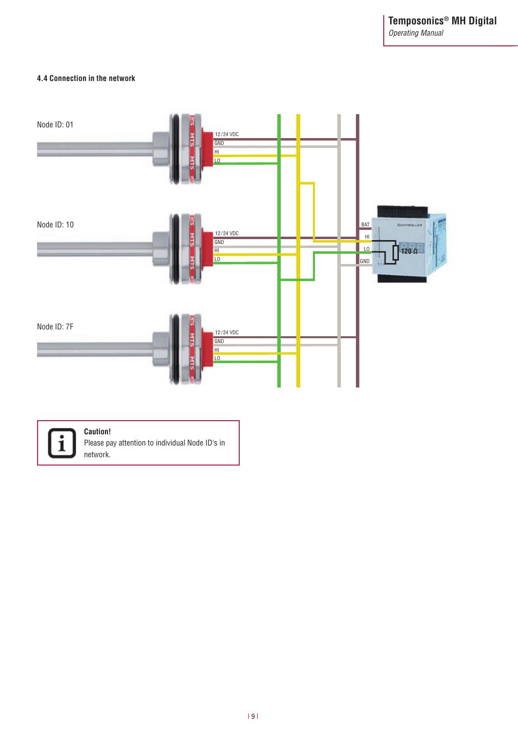#### **4.4 Connection in the network**





### **Caution!**

Please pay attention to individual Node ID's in network.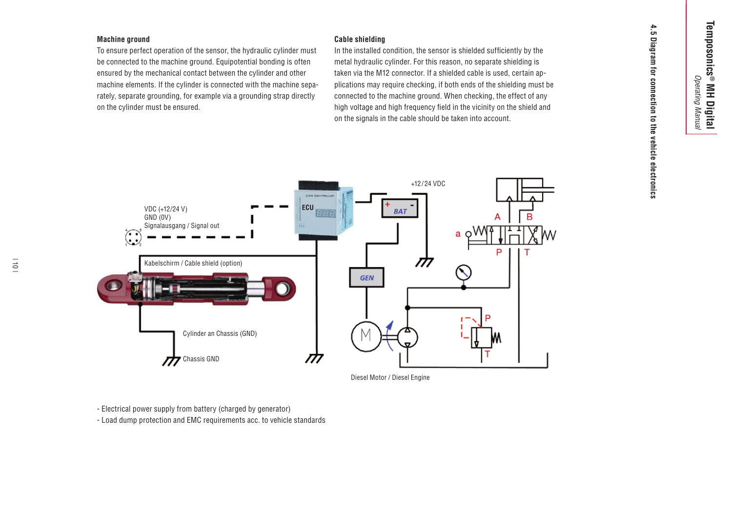#### **Machine ground**

To ensure perfect operation of the sensor, the hydraulic cylinder must be connected to the machine ground. Equipotential bonding is often ensured by the mechanical contact between the cylinder and other machine elements. If the cylinder is connected with the machine separately, separate grounding, for example via a grounding strap directly on the cylinder must be ensured.

Cable shielding<br>
In the installed condition, the sensor is shielded sufficiently by the<br>
metal hydraulic cylinder. For this reason, no separate shielding is<br>
taken via the M12 connector. If a shielded cable is used, certai



Diesel Motor / Diesel Engine

- Electrical power supply from battery (charged by generator)

- Load dump protection and EMC requirements acc. to vehicle standards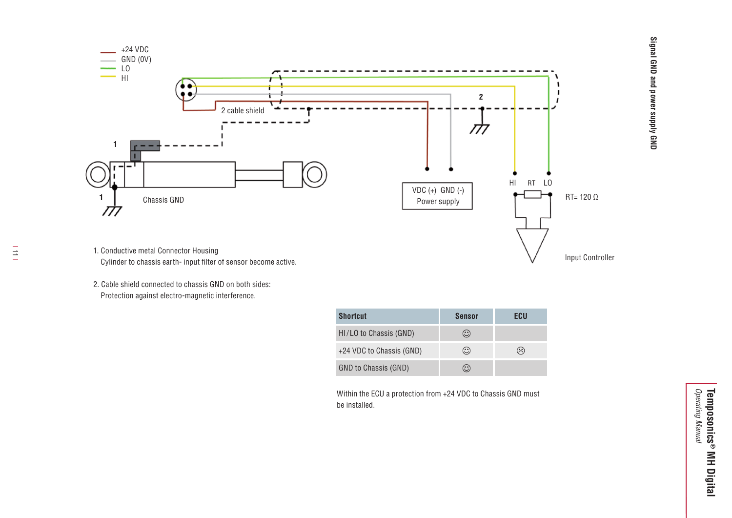

 $\equiv$ 

- 1. Conductive metal Connector Housing Cylinder to chassis earth- input filter of sensor become active.
- 2. Cable shield connected to chassis GND on both sides: Protection against electro-magnetic interference.

| <b>Shortcut</b>          | <b>Sensor</b> | ECUI      |
|--------------------------|---------------|-----------|
| HI/LO to Chassis (GND)   | $\cdot$ :     |           |
| +24 VDC to Chassis (GND) | $(\cdot)$     | $\approx$ |
| GND to Chassis (GND)     |               |           |

Within the ECU a protection from +24 VDC to Chassis GND must be installed.

**Signal GND and power supply GND**

Signal GND and power supply GND

Input Controller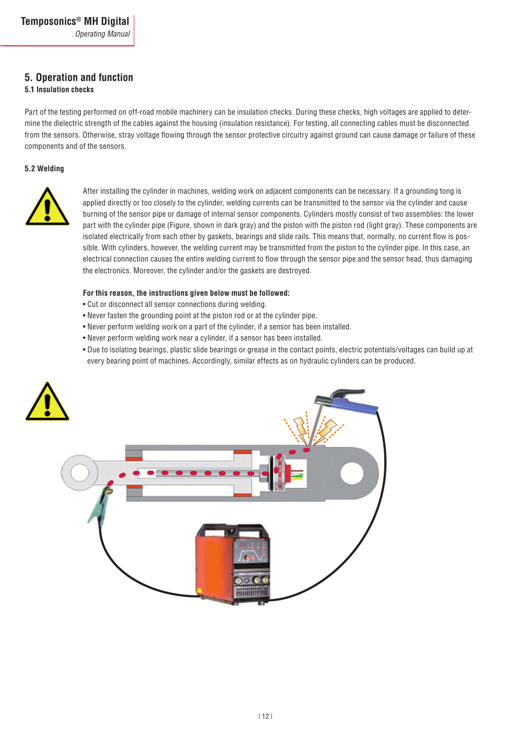# **5. Operation and function**

### **5.1 Insulation checks**

Part of the testing performed on off-road mobile machinery can be insulation checks. During these checks, high voltages are applied to determine the dielectric strength of the cables against the housing (insulation resistance). For testing, all connecting cables must be disconnected from the sensors. Otherwise, stray voltage flowing through the sensor protective circuitry against ground can cause damage or failure of these components and of the sensors.

#### **5.2 Welding**



After installing the cylinder in machines, welding work on adjacent components can be necessary. If a grounding tong is applied directly or too closely to the cylinder, welding currents can be transmitted to the sensor via the cylinder and cause burning of the sensor pipe or damage of internal sensor components. Cylinders mostly consist of two assemblies: the lower part with the cylinder pipe (Figure, shown in dark gray) and the piston with the piston rod (light gray). These components are isolated electrically from each other by gaskets, bearings and slide rails. This means that, normally, no current flow is possible. With cylinders, however, the welding current may be transmitted from the piston to the cylinder pipe. In this case, an electrical connection causes the entire welding current to flow through the sensor pipe and the sensor head, thus damaging the electronics. Moreover, the cylinder and/or the gaskets are destroyed.

#### **For this reason, the instructions given below must be followed:**

- Cut or disconnect all sensor connections during welding.
- Never fasten the grounding point at the piston rod or at the cylinder pipe.
- Never perform welding work on a part of the cylinder, if a sensor has been installed.
- Never perform welding work near a cylinder, if a sensor has been installed.
- Due to isolating bearings, plastic slide bearings or grease in the contact points, electric potentials/voltages can build up at every bearing point of machines. Accordingly, similar effects as on hydraulic cylinders can be produced.

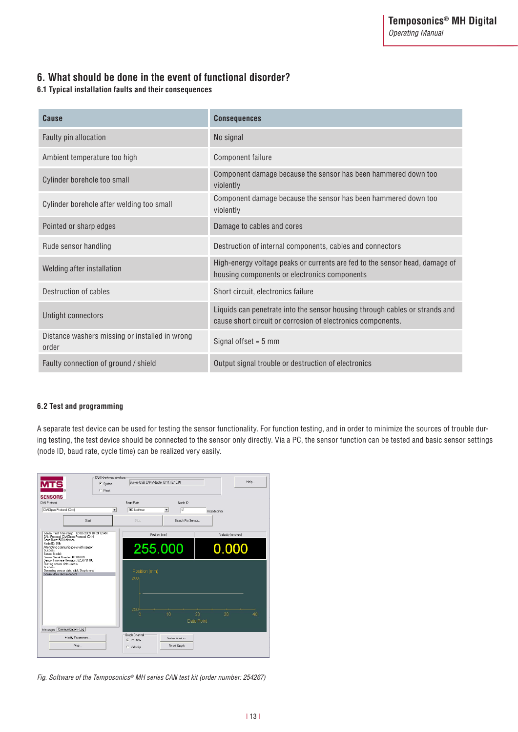# **6. What should be done in the event of functional disorder?**

### **6.1 Typical installation faults and their consequences**

| Cause                                                   | <b>Consequences</b>                                                                                                                        |
|---------------------------------------------------------|--------------------------------------------------------------------------------------------------------------------------------------------|
| Faulty pin allocation                                   | No signal                                                                                                                                  |
| Ambient temperature too high                            | Component failure                                                                                                                          |
| Cylinder borehole too small                             | Component damage because the sensor has been hammered down too<br>violently                                                                |
| Cylinder borehole after welding too small               | Component damage because the sensor has been hammered down too<br>violently                                                                |
| Pointed or sharp edges                                  | Damage to cables and cores                                                                                                                 |
| Rude sensor handling                                    | Destruction of internal components, cables and connectors                                                                                  |
| Welding after installation                              | High-energy voltage peaks or currents are fed to the sensor head, damage of<br>housing components or electronics components                |
| Destruction of cables                                   | Short circuit, electronics failure                                                                                                         |
| Untight connectors                                      | Liquids can penetrate into the sensor housing through cables or strands and<br>cause short circuit or corrosion of electronics components. |
| Distance washers missing or installed in wrong<br>order | Signal offset = $5 \text{ mm}$                                                                                                             |
| Faulty connection of ground / shield                    | Output signal trouble or destruction of electronics                                                                                        |

### **6.2 Test and programming**

A separate test device can be used for testing the sensor functionality. For function testing, and in order to minimize the sources of trouble during testing, the test device should be connected to the sensor only directly. Via a PC, the sensor function can be tested and basic sensor settings (node ID, baud rate, cycle time) can be realized very easily.

| <b>CAN Hardware Interface:</b><br><b>MTS</b><br>G Systec<br>$\cap$ Peak<br><b>SENSORS</b>                                                                         | Systec USB CAN Adapter (3.11) [3.10.8] |                                   | Help                                      |
|-------------------------------------------------------------------------------------------------------------------------------------------------------------------|----------------------------------------|-----------------------------------|-------------------------------------------|
| CAN Protocol                                                                                                                                                      | <b>Baud Bate</b>                       | Node ID                           |                                           |
| CAN Open Protocol (CXX)<br>$\overline{ }$                                                                                                                         | 500 kbit/sec                           | $\overline{01}$<br>$\overline{ }$ | hexadecimal                               |
| Start                                                                                                                                                             | Stop:                                  | Search For Sensor                 |                                           |
| Sensor Test Timestamp: 12/02/2009 10:09:12 AM<br>CAN Protocol: CANOpen Protocol (CXX)<br><b>Baud Bate: 500 kbit/sec.</b>                                          |                                        | Position [mm]                     | Velocity [mm/sec]                         |
| Node ID: 01h<br>Attempting communications with sensor<br><b>Success</b><br>Sensor Model:<br>Sensor Serial Number 09102009<br>Sensor Firmware Revision: 6250731103 |                                        | 255.000                           | 0.000                                     |
| Starting sensor data stream<br>Success.<br>Streaming sensor data, click Stop to end<br>Sensor data stream ended                                                   | Position (mm)<br>260                   |                                   |                                           |
|                                                                                                                                                                   | 250<br>'n                              | 10                                | 20<br>30 <sup>2</sup><br>40<br>Data Point |
| Communications Log<br>Messages                                                                                                                                    | Graph Channel                          |                                   |                                           |
| Modify Parameters                                                                                                                                                 | ← Position                             | Setup Graph                       |                                           |
| Print                                                                                                                                                             | C. Velocity                            | <b>Reset Graph</b>                |                                           |

*Fig. Software of the Temposonics® MH series CAN test kit (order number: 254267)*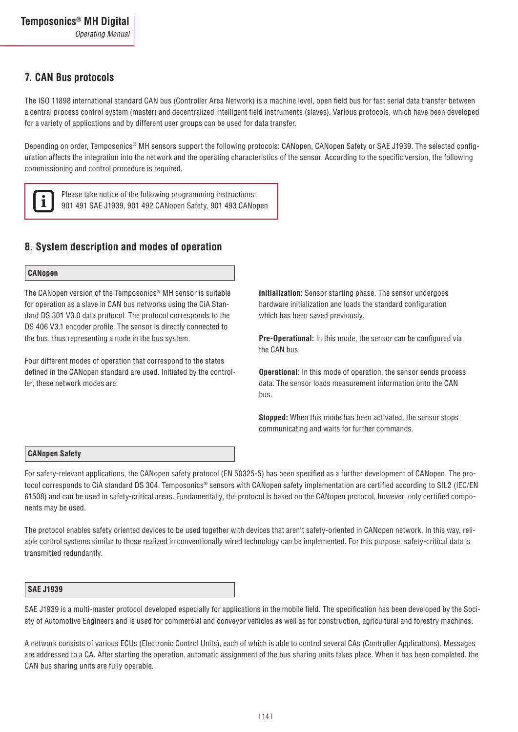# **7. CAN Bus protocols**

The ISO 11898 international standard CAN bus (Controller Area Network) is a machine level, open field bus for fast serial data transfer between a central process control system (master) and decentralized intelligent field instruments (slaves). Various protocols, which have been developed for a variety of applications and by different user groups can be used for data transfer.

Depending on order, Temposonics® MH sensors support the following protocols: CANopen, CANopen Safety or SAE J1939. The selected configuration affects the integration into the network and the operating characteristics of the sensor. According to the specific version, the following commissioning and control procedure is required.



Please take notice of the following programming instructions: 901 491 SAE J1939, 901 492 CANopen Safety, 901 493 CANopen

# **8. System description and modes of operation**

### **CANopen**

The CANopen version of the Temposonics® MH sensor is suitable for operation as a slave in CAN bus networks using the CiA Standard DS 301 V3.0 data protocol. The protocol corresponds to the DS 406 V3.1 encoder profile. The sensor is directly connected to the bus, thus representing a node in the bus system.

Four different modes of operation that correspond to the states defined in the CANopen standard are used. Initiated by the controller, these network modes are:

**Initialization:** Sensor starting phase. The sensor undergoes hardware initialization and loads the standard configuration which has been saved previously.

**Pre-Operational:** In this mode, the sensor can be configured via the CAN bus.

**Operational:** In this mode of operation, the sensor sends process data. The sensor loads measurement information onto the CAN bus.

**Stopped:** When this mode has been activated, the sensor stops communicating and waits for further commands.

#### **CANopen Safety**

For safety-relevant applications, the CANopen safety protocol (EN 50325-5) has been specified as a further development of CANopen. The protocol corresponds to CiA standard DS 304. Temposonics® sensors with CANopen safety implementation are certified according to SIL2 (IEC/EN 61508) and can be used in safety-critical areas. Fundamentally, the protocol is based on the CANopen protocol, however, only certified components may be used.

The protocol enables safety oriented devices to be used together with devices that aren't safety-oriented in CANopen network. In this way, reliable control systems similar to those realized in conventionally wired technology can be implemented. For this purpose, safety-critical data is transmitted redundantly.

#### **SAE J1939**

SAE J1939 is a multi-master protocol developed especially for applications in the mobile field. The specification has been developed by the Society of Automotive Engineers and is used for commercial and conveyor vehicles as well as for construction, agricultural and forestry machines.

A network consists of various ECUs (Electronic Control Units), each of which is able to control several CAs (Controller Applications). Messages are addressed to a CA. After starting the operation, automatic assignment of the bus sharing units takes place. When it has been completed, the CAN bus sharing units are fully operable.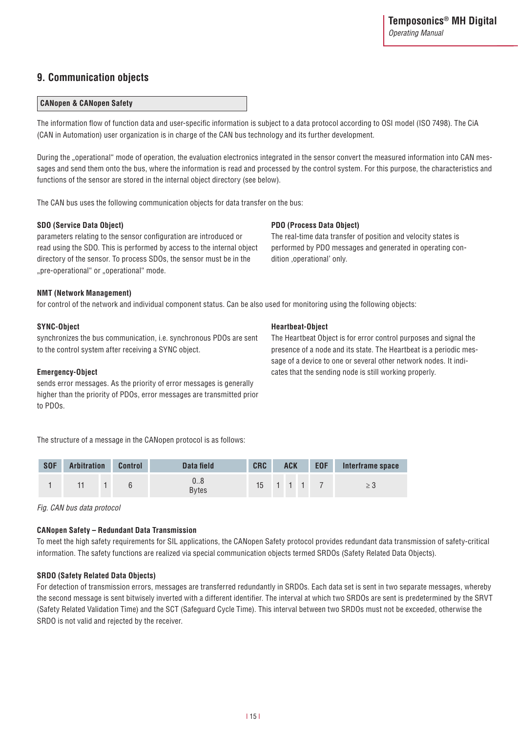# **9. Communication objects**

### **CANopen & CANopen Safety**

The information flow of function data and user-specific information is subject to a data protocol according to OSI model (ISO 7498). The CiA (CAN in Automation) user organization is in charge of the CAN bus technology and its further development.

During the "operational" mode of operation, the evaluation electronics integrated in the sensor convert the measured information into CAN messages and send them onto the bus, where the information is read and processed by the control system. For this purpose, the characteristics and functions of the sensor are stored in the internal object directory (see below).

The CAN bus uses the following communication objects for data transfer on the bus:

#### **SDO (Service Data Object)**

parameters relating to the sensor configuration are introduced or read using the SDO. This is performed by access to the internal object directory of the sensor. To process SDOs, the sensor must be in the "pre-operational" or "operational" mode.

### **PDO (Process Data Object)**

**Heartbeat-Object**

The real-time data transfer of position and velocity states is performed by PDO messages and generated in operating condition ,operational' only.

#### **NMT (Network Management)**

for control of the network and individual component status. Can be also used for monitoring using the following objects:

#### **SYNC-Object**

synchronizes the bus communication, i.e. synchronous PDOs are sent to the control system after receiving a SYNC object.

#### **Emergency-Object**

sends error messages. As the priority of error messages is generally higher than the priority of PDOs, error messages are transmitted prior to PDOs.

The structure of a message in the CANopen protocol is as follows:

| <b>SOF</b> | <b>Arbitration</b> | <b>Control</b> | Data field         | <b>CRC</b><br><b>ACK</b>     |  | <b>EOF</b> | Interframe space |  |  |
|------------|--------------------|----------------|--------------------|------------------------------|--|------------|------------------|--|--|
|            |                    |                | 08<br><b>Bytes</b> | $15 \quad 1 \quad 1 \quad 1$ |  |            |                  |  |  |

*Fig. CAN bus data protocol*

#### **CANopen Safety – Redundant Data Transmission**

To meet the high safety requirements for SIL applications, the CANopen Safety protocol provides redundant data transmission of safety-critical information. The safety functions are realized via special communication objects termed SRDOs (Safety Related Data Objects).

#### **SRDO (Safety Related Data Objects)**

For detection of transmission errors, messages are transferred redundantly in SRDOs. Each data set is sent in two separate messages, whereby the second message is sent bitwisely inverted with a different identifier. The interval at which two SRDOs are sent is predetermined by the SRVT (Safety Related Validation Time) and the SCT (Safeguard Cycle Time). This interval between two SRDOs must not be exceeded, otherwise the SRDO is not valid and rejected by the receiver.

The Heartbeat Object is for error control purposes and signal the presence of a node and its state. The Heartbeat is a periodic message of a device to one or several other network nodes. It indicates that the sending node is still working properly.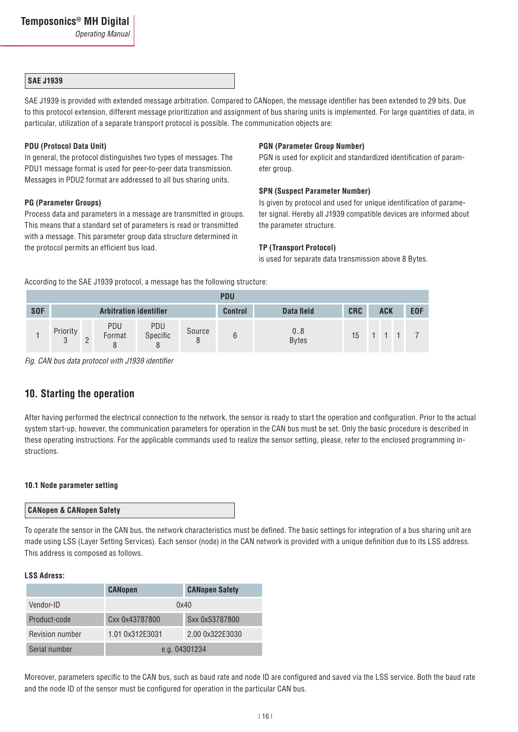#### **SAE J1939**

SAE J1939 is provided with extended message arbitration. Compared to CANopen, the message identifier has been extended to 29 bits. Due to this protocol extension, different message prioritization and assignment of bus sharing units is implemented. For large quantities of data, in particular, utilization of a separate transport protocol is possible. The communication objects are:

#### **PDU (Protocol Data Unit)**

In general, the protocol distinguishes two types of messages. The PDU1 message format is used for peer-to-peer data transmission. Messages in PDU2 format are addressed to all bus sharing units.

#### **PG (Parameter Groups)**

Process data and parameters in a message are transmitted in groups. This means that a standard set of parameters is read or transmitted with a message. This parameter group data structure determined in the protocol permits an efficient bus load.

#### **PGN (Parameter Group Number)**

PGN is used for explicit and standardized identification of parameter group.

#### **SPN (Suspect Parameter Number)**

Is given by protocol and used for unique identification of parameter signal. Hereby all J1939 compatible devices are informed about the parameter structure.

#### **TP (Transport Protocol)**

is used for separate data transmission above 8 Bytes.

According to the SAE J1939 protocol, a message has the following structure:

|            | <b>PDU</b>         |        |                               |                 |             |                |                    |                  |  |            |                     |            |
|------------|--------------------|--------|-------------------------------|-----------------|-------------|----------------|--------------------|------------------|--|------------|---------------------|------------|
| <b>SOF</b> |                    |        | <b>Arbitration identifier</b> |                 |             | <b>Control</b> | Data field         | <b>CRC</b>       |  | <b>ACK</b> |                     | <b>EOF</b> |
|            | Priority<br>্<br>J | C<br>ے | PDU<br>Format                 | PDU<br>Specific | Source<br>8 |                | 08<br><b>Bytes</b> | 15 <sup>15</sup> |  |            | $1 \quad 1 \quad 1$ |            |

*Fig. CAN bus data protocol with J1939 identifier*

## **10. Starting the operation**

After having performed the electrical connection to the network, the sensor is ready to start the operation and configuration. Prior to the actual system start-up, however, the communication parameters for operation in the CAN bus must be set. Only the basic procedure is described in these operating instructions. For the applicable commands used to realize the sensor setting, please, refer to the enclosed programming instructions.

#### **10.1 Node parameter setting**

#### **CANopen & CANopen Safety**

To operate the sensor in the CAN bus, the network characteristics must be defined. The basic settings for integration of a bus sharing unit are made using LSS (Layer Setting Services). Each sensor (node) in the CAN network is provided with a unique definition due to its LSS address. This address is composed as follows.

#### **LSS Adress:**

|                 | <b>CANopen</b>  | <b>CANopen Safety</b> |  |  |
|-----------------|-----------------|-----------------------|--|--|
| Vendor-ID       | 0x40            |                       |  |  |
| Product-code    | Cxx 0x43787800  | Sxx 0x53787800        |  |  |
| Revision number | 1.01 0x312E3031 | 2.00 0x322E3030       |  |  |
| Serial number   | e.g. 04301234   |                       |  |  |

Moreover, parameters specific to the CAN bus, such as baud rate and node ID are configured and saved via the LSS service. Both the baud rate and the node ID of the sensor must be configured for operation in the particular CAN bus.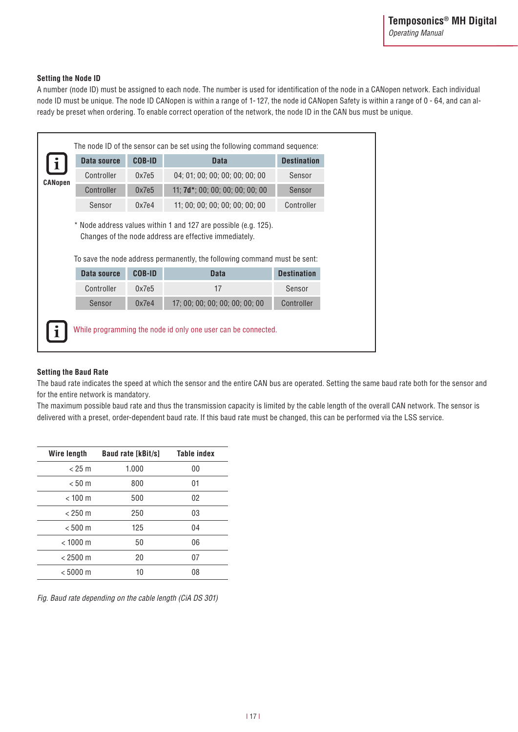### **Setting the Node ID**

A number (node ID) must be assigned to each node. The number is used for identification of the node in a CANopen network. Each individual node ID must be unique. The node ID CANopen is within a range of 1- 127, the node id CANopen Safety is within a range of 0 - 64, and can already be preset when ordering. To enable correct operation of the network, the node ID in the CAN bus must be unique.

|                | Data source               | <b>COB-ID</b>          | <b>Data</b>                                                                                                               | <b>Destination</b>           |
|----------------|---------------------------|------------------------|---------------------------------------------------------------------------------------------------------------------------|------------------------------|
| <b>CANopen</b> | Controller                | 0x7e5                  | 04; 01; 00; 00; 00; 00; 00; 00                                                                                            | Sensor                       |
|                | Controller                | 0x7e5                  | 11; 7d*; 00; 00; 00; 00; 00; 00                                                                                           | Sensor                       |
|                | Sensor                    | 0x7e4                  | 11: 00: 00: 00: 00: 00: 00: 00                                                                                            | Controller                   |
|                |                           |                        | * Node address values within 1 and 127 are possible (e.g. 125).<br>Changes of the node address are effective immediately. |                              |
|                |                           |                        | To save the node address permanently, the following command must be sent:                                                 |                              |
|                | Data source<br>Controller | <b>COB-ID</b><br>0x7e5 | <b>Data</b><br>17                                                                                                         | <b>Destination</b><br>Sensor |
|                | Sensor                    | 0x7e4                  | 17; 00; 00; 00; 00; 00; 00; 00                                                                                            | Controller                   |

#### **Setting the Baud Rate**

The baud rate indicates the speed at which the sensor and the entire CAN bus are operated. Setting the same baud rate both for the sensor and for the entire network is mandatory.

The maximum possible baud rate and thus the transmission capacity is limited by the cable length of the overall CAN network. The sensor is delivered with a preset, order-dependent baud rate. If this baud rate must be changed, this can be performed via the LSS service.

| <b>Baud rate [kBit/s]</b> | Table index |
|---------------------------|-------------|
| 1.000                     | 00          |
| 800                       | 01          |
| 500                       | 02          |
| 250                       | 03          |
| 125                       | 04          |
| 50                        | 06          |
| 20                        | 07          |
| 10                        | 08          |
|                           |             |

*Fig. Baud rate depending on the cable length (CiA DS 301)*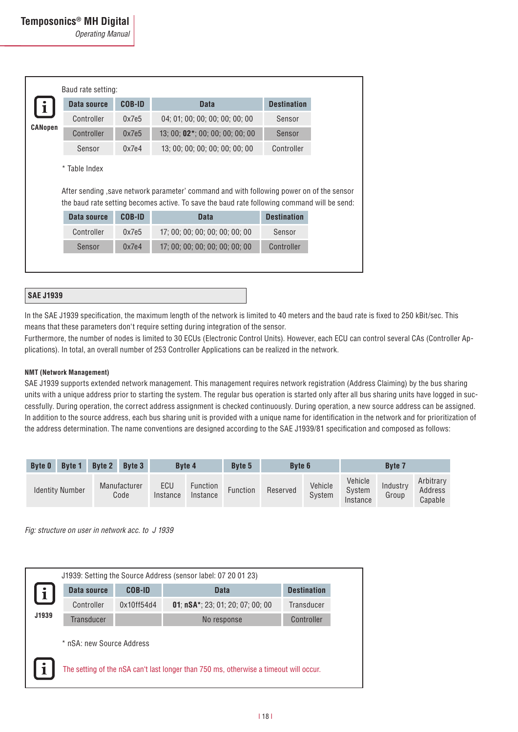*Operating Manual*

|         | Data source | <b>COB-ID</b> | <b>Data</b>                                                                                                                                                                                             | <b>Destination</b> |
|---------|-------------|---------------|---------------------------------------------------------------------------------------------------------------------------------------------------------------------------------------------------------|--------------------|
|         | Controller  | 0x7e5         | 04; 01; 00; 00; 00; 00; 00; 00                                                                                                                                                                          | Sensor             |
| CANopen | Controller  | 0x7e5         | 13; 00; 02*; 00; 00; 00; 00; 00                                                                                                                                                                         | Sensor             |
|         | Sensor      | 0x7e4         | 13; 00; 00; 00; 00; 00; 00; 00                                                                                                                                                                          | Controller         |
|         | Data source | <b>COB-ID</b> | After sending , save network parameter' command and with following power on of the sensor<br>the baud rate setting becomes active. To save the baud rate following command will be send:<br><b>Data</b> | <b>Destination</b> |
|         | Controller  | 0x7e5         | 17; 00; 00; 00; 00; 00; 00; 00                                                                                                                                                                          | Sensor             |
|         | Sensor      | 0x7e4         | 17; 00; 00; 00; 00; 00; 00; 00                                                                                                                                                                          | Controller         |

#### **SAE J1939**

In the SAE J1939 specification, the maximum length of the network is limited to 40 meters and the baud rate is fixed to 250 kBit/sec. This means that these parameters don't require setting during integration of the sensor.

Furthermore, the number of nodes is limited to 30 ECUs (Electronic Control Units). However, each ECU can control several CAs (Controller Applications). In total, an overall number of 253 Controller Applications can be realized in the network.

#### **NMT (Network Management)**

SAE J1939 supports extended network management. This management requires network registration (Address Claiming) by the bus sharing units with a unique address prior to starting the system. The regular bus operation is started only after all bus sharing units have logged in successfully. During operation, the correct address assignment is checked continuously. During operation, a new source address can be assigned. In addition to the source address, each bus sharing unit is provided with a unique name for identification in the network and for prioritization of the address determination. The name conventions are designed according to the SAE J1939/81 specification and composed as follows:

| <b>Byte 0</b> | <b>Byte 1</b>          | <b>Byte 2</b> | <b>Byte 3</b>        |                 | <b>Byte 4</b>        | <b>Byte 5</b>   | <b>Byte 6</b> |                   |                               | <b>Byte 7</b>     |                                 |
|---------------|------------------------|---------------|----------------------|-----------------|----------------------|-----------------|---------------|-------------------|-------------------------------|-------------------|---------------------------------|
|               | <b>Identity Number</b> |               | Manufacturer<br>Code | ECU<br>Instance | Function<br>Instance | <b>Function</b> | Reserved      | Vehicle<br>System | Vehicle<br>System<br>Instance | Industry<br>Group | Arbitrary<br>Address<br>Capable |

*Fig: structure on user in network acc. to J 1939* 

|       |                           |            | J1939: Setting the Source Address (sensor label: 07 20 01 23)                         |                    |
|-------|---------------------------|------------|---------------------------------------------------------------------------------------|--------------------|
|       | Data source               | COB-ID     | <b>Data</b>                                                                           | <b>Destination</b> |
|       | Controller                | 0x10ff54d4 | <b>01:</b> $nSA^*$ : 23: 01: 20: 07: 00: 00                                           | Transducer         |
| J1939 | <b>Transducer</b>         |            | No response                                                                           | Controller         |
|       | * nSA: new Source Address |            |                                                                                       |                    |
|       |                           |            | The setting of the nSA can't last longer than 750 ms, otherwise a timeout will occur. |                    |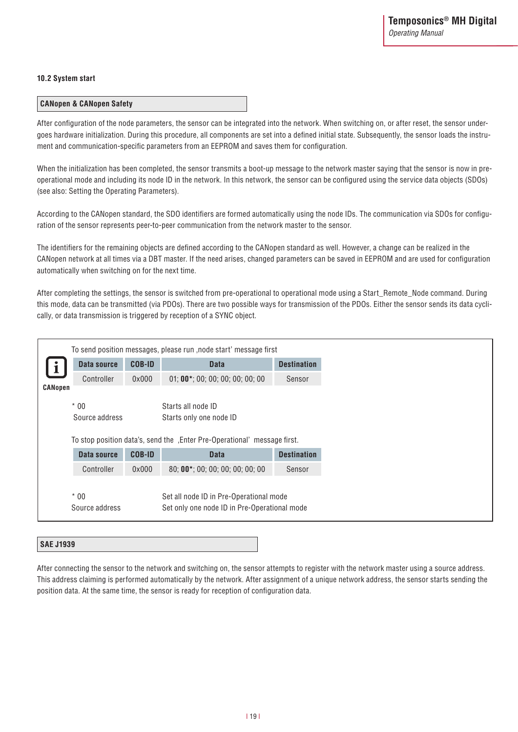### **10.2 System start**

### **CANopen & CANopen Safety**

After configuration of the node parameters, the sensor can be integrated into the network. When switching on, or after reset, the sensor undergoes hardware initialization. During this procedure, all components are set into a defined initial state. Subsequently, the sensor loads the instrument and communication-specific parameters from an EEPROM and saves them for configuration.

When the initialization has been completed, the sensor transmits a boot-up message to the network master saying that the sensor is now in preoperational mode and including its node ID in the network. In this network, the sensor can be configured using the service data objects (SDOs) (see also: Setting the Operating Parameters).

According to the CANopen standard, the SDO identifiers are formed automatically using the node IDs. The communication via SDOs for configuration of the sensor represents peer-to-peer communication from the network master to the sensor.

The identifiers for the remaining objects are defined according to the CANopen standard as well. However, a change can be realized in the CANopen network at all times via a DBT master. If the need arises, changed parameters can be saved in EEPROM and are used for configuration automatically when switching on for the next time.

After completing the settings, the sensor is switched from pre-operational to operational mode using a Start\_Remote\_Node command. During this mode, data can be transmitted (via PDOs). There are two possible ways for transmission of the PDOs. Either the sensor sends its data cyclically, or data transmission is triggered by reception of a SYNC object.

|                |                |               | To send position messages, please run , node start' message first         |                    |  |  |
|----------------|----------------|---------------|---------------------------------------------------------------------------|--------------------|--|--|
|                | Data source    | <b>COB-ID</b> | <b>Data</b>                                                               | <b>Destination</b> |  |  |
|                | Controller     | 0x000         | $01; 00*; 00; 00; 00; 00; 00; 00$                                         | Sensor             |  |  |
| <b>CANopen</b> |                |               |                                                                           |                    |  |  |
|                | $*00$          |               | Starts all node ID                                                        |                    |  |  |
|                | Source address |               | Starts only one node ID                                                   |                    |  |  |
|                |                |               | To stop position data's, send the , Enter Pre-Operational' message first. |                    |  |  |
|                | Data source    | <b>COB-ID</b> | <b>Data</b>                                                               | <b>Destination</b> |  |  |
|                | Controller     | 0x000         | 80; 00*; 00; 00; 00; 00; 00; 00                                           | Sensor             |  |  |
|                |                |               |                                                                           |                    |  |  |
|                | $*00$          |               | Set all node ID in Pre-Operational mode                                   |                    |  |  |
|                | Source address |               | Set only one node ID in Pre-Operational mode                              |                    |  |  |
|                |                |               |                                                                           |                    |  |  |

#### **SAE J1939**

After connecting the sensor to the network and switching on, the sensor attempts to register with the network master using a source address. This address claiming is performed automatically by the network. After assignment of a unique network address, the sensor starts sending the position data. At the same time, the sensor is ready for reception of configuration data.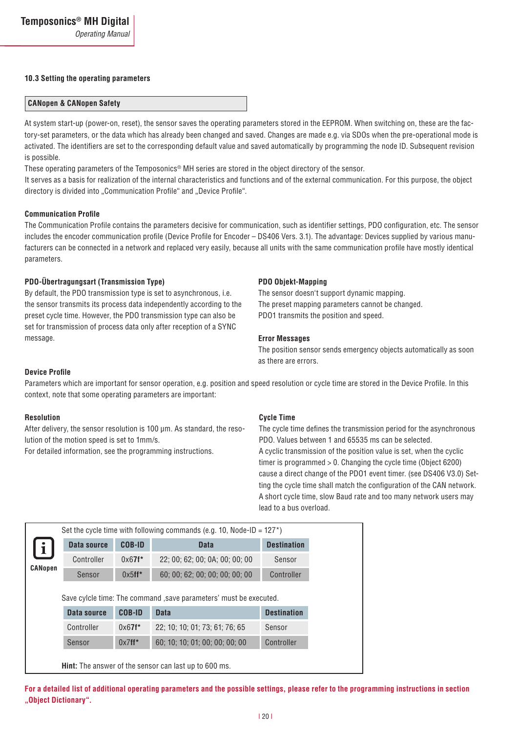#### **10.3 Setting the operating parameters**

# **CANopen & CANopen Safety**

At system start-up (power-on, reset), the sensor saves the operating parameters stored in the EEPROM. When switching on, these are the factory-set parameters, or the data which has already been changed and saved. Changes are made e.g. via SDOs when the pre-operational mode is activated. The identifiers are set to the corresponding default value and saved automatically by programming the node ID. Subsequent revision is possible.

These operating parameters of the Temposonics® MH series are stored in the object directory of the sensor.

It serves as a basis for realization of the internal characteristics and functions and of the external communication. For this purpose, the object directory is divided into "Communication Profile" and "Device Profile".

#### **Communication Profile**

The Communication Profile contains the parameters decisive for communication, such as identifier settings, PDO configuration, etc. The sensor includes the encoder communication profile (Device Profile for Encoder – DS406 Vers. 3.1). The advantage: Devices supplied by various manufacturers can be connected in a network and replaced very easily, because all units with the same communication profile have mostly identical parameters.

#### **PDO-Übertragungsart (Transmission Type)**

By default, the PDO transmission type is set to asynchronous, i.e. the sensor transmits its process data independently according to the preset cycle time. However, the PDO transmission type can also be set for transmission of process data only after reception of a SYNC message.

#### **PDO Objekt-Mapping**

The sensor doesn't support dynamic mapping. The preset mapping parameters cannot be changed. PDO1 transmits the position and speed.

#### **Error Messages**

The position sensor sends emergency objects automatically as soon as there are errors.

#### **Device Profile**

Parameters which are important for sensor operation, e.g. position and speed resolution or cycle time are stored in the Device Profile. In this context, note that some operating parameters are important:

#### **Resolution**

After delivery, the sensor resolution is 100 µm. As standard, the resolution of the motion speed is set to 1mm/s.

For detailed information, see the programming instructions.

#### **Cycle Time**

The cycle time defines the transmission period for the asynchronous PDO. Values between 1 and 65535 ms can be selected. A cyclic transmission of the position value is set, when the cyclic timer is programmed > 0. Changing the cycle time (Object 6200) cause a direct change of the PDO1 event timer. (see DS406 V3.0) Setting the cycle time shall match the configuration of the CAN network. A short cycle time, slow Baud rate and too many network users may lead to a bus overload.

| COB-ID<br>Data source<br><b>Destination</b><br><b>Data</b><br>i<br>Controller<br>$0x67f*$<br>22; 00; 62; 00; 0A; 00; 00; 00<br>Sensor<br><b>CANopen</b><br>60; 00; 62; 00; 00; 00; 00; 00<br>$0x5$ ff <sup>*</sup><br>Controller<br>Sensor<br>Save cylcle time: The command , save parameters' must be executed.<br><b>COB-ID</b><br>Data source<br><b>Data</b><br><b>Destination</b><br>Controller<br>$0x67f*$<br>22; 10; 10; 01; 73; 61; 76; 65<br>Sensor<br>$0x7$ ff*<br>60; 10; 10; 01; 00; 00; 00; 00<br>Controller<br>Sensor |  | Set the cycle time with following commands (e.g. 10, Node-ID = $127^*$ ) |  |
|------------------------------------------------------------------------------------------------------------------------------------------------------------------------------------------------------------------------------------------------------------------------------------------------------------------------------------------------------------------------------------------------------------------------------------------------------------------------------------------------------------------------------------|--|--------------------------------------------------------------------------|--|
|                                                                                                                                                                                                                                                                                                                                                                                                                                                                                                                                    |  |                                                                          |  |
|                                                                                                                                                                                                                                                                                                                                                                                                                                                                                                                                    |  |                                                                          |  |
|                                                                                                                                                                                                                                                                                                                                                                                                                                                                                                                                    |  |                                                                          |  |
|                                                                                                                                                                                                                                                                                                                                                                                                                                                                                                                                    |  |                                                                          |  |
|                                                                                                                                                                                                                                                                                                                                                                                                                                                                                                                                    |  |                                                                          |  |
|                                                                                                                                                                                                                                                                                                                                                                                                                                                                                                                                    |  |                                                                          |  |
|                                                                                                                                                                                                                                                                                                                                                                                                                                                                                                                                    |  |                                                                          |  |

**Hint:** The answer of the sensor can last up to 600 ms.

**For a detailed list of additional operating parameters and the possible settings, please refer to the programming instructions in section "Object Dictionary".**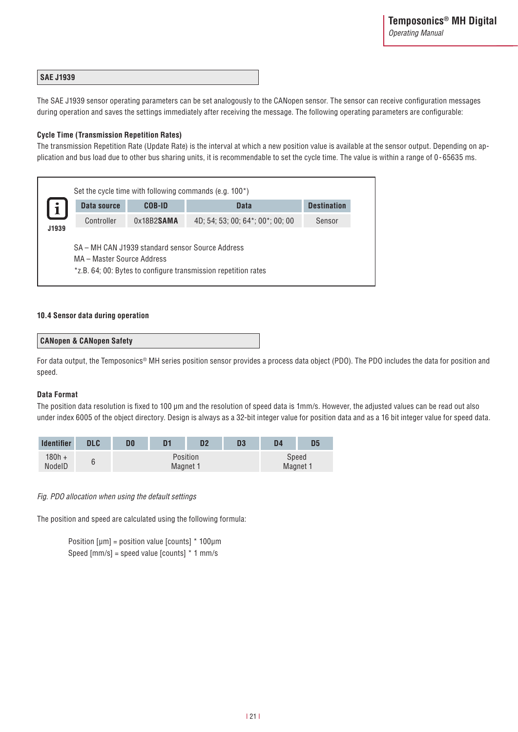#### **SAE J1939**

The SAE J1939 sensor operating parameters can be set analogously to the CANopen sensor. The sensor can receive configuration messages during operation and saves the settings immediately after receiving the message. The following operating parameters are configurable:

#### **Cycle Time (Transmission Repetition Rates)**

The transmission Repetition Rate (Update Rate) is the interval at which a new position value is available at the sensor output. Depending on application and bus load due to other bus sharing units, it is recommendable to set the cycle time. The value is within a range of 0 - 65635 ms.

| Sensor |
|--------|
|        |
|        |

### **10.4 Sensor data during operation**

#### **CANopen & CANopen Safety**

For data output, the Temposonics® MH series position sensor provides a process data object (PDO). The PDO includes the data for position and speed.

#### **Data Format**

The position data resolution is fixed to 100 µm and the resolution of speed data is 1mm/s. However, the adjusted values can be read out also under index 6005 of the object directory. Design is always as a 32-bit integer value for position data and as a 16 bit integer value for speed data.

| <b>Identifier</b>  | <b>DLC</b> | D0 | D1       | D <sub>2</sub> | D <sub>3</sub> | D <sub>4</sub> | D5       |
|--------------------|------------|----|----------|----------------|----------------|----------------|----------|
| $180h +$<br>NodelD | 6          |    | Magnet 1 | Position       |                | Speed          | Magnet 1 |

*Fig. PDO allocation when using the default settings* 

The position and speed are calculated using the following formula:

Position  $[µm]$  = position value  $[counts]$  \* 100 $µm$ Speed [mm/s] = speed value [counts] \* 1 mm/s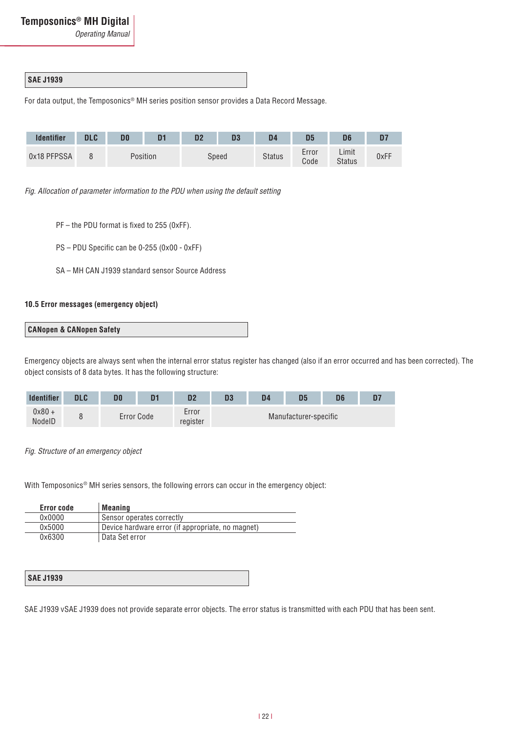*Operating Manual*

# **SAE J1939**

For data output, the Temposonics® MH series position sensor provides a Data Record Message.

| <b>Identifier</b> | <b>DLC</b> | D0 |          | D <sub>2</sub> | D3    | D4     | D5            |                 | D7   |
|-------------------|------------|----|----------|----------------|-------|--------|---------------|-----------------|------|
| 0x18 PFPSSA       |            |    | Position |                | Speed | Status | Error<br>Code | Limit<br>Status | 0xFF |

*Fig. Allocation of parameter information to the PDU when using the default setting*

- PF the PDU format is fixed to 255 (0xFF).
- PS PDU Specific can be 0-255 (0x00 0xFF)
- SA MH CAN J1939 standard sensor Source Address

### **10.5 Error messages (emergency object)**



Emergency objects are always sent when the internal error status register has changed (also if an error occurred and has been corrected). The object consists of 8 data bytes. It has the following structure:

| <b>Identifier</b>  | יוח<br>DLU | D <sub>1</sub> | מח<br>IJΑ         | D3 | D4 | D <sub>5</sub>        | D <sub>6</sub> |  |
|--------------------|------------|----------------|-------------------|----|----|-----------------------|----------------|--|
| $0x80 +$<br>NodelD |            | Error Code     | Error<br>register |    |    | Manufacturer-specific |                |  |

*Fig. Structure of an emergency object*

With Temposonics® MH series sensors, the following errors can occur in the emergency object:

| Error code | Meaning                                           |
|------------|---------------------------------------------------|
| 0x0000     | Sensor operates correctly                         |
| 0x5000     | Device hardware error (if appropriate, no magnet) |
| 0x6300     | Data Set error                                    |

| <b>SAE J1939</b> |
|------------------|
|------------------|

SAE J1939 vSAE J1939 does not provide separate error objects. The error status is transmitted with each PDU that has been sent.